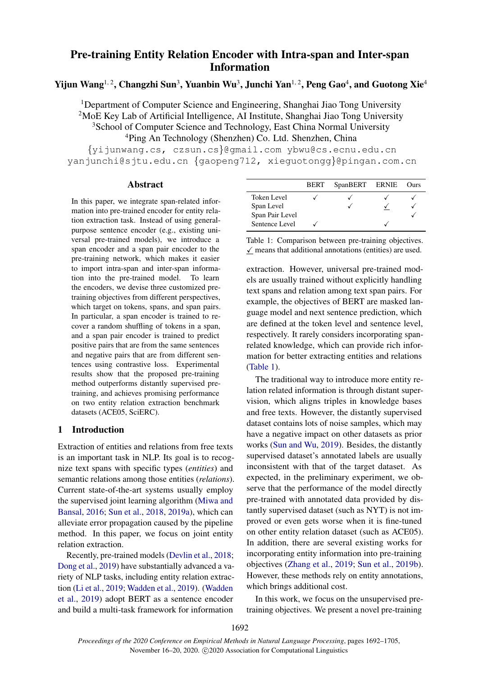# Pre-training Entity Relation Encoder with Intra-span and Inter-span Information

## Yijun Wang $^{1,\,2}$ , Changzhi Sun $^3$ , Yuanbin Wu $^3$ , Junchi Yan $^{1,\,2}$ , Peng Gao $^4$ , and Guotong Xie $^4$

<sup>1</sup>Department of Computer Science and Engineering, Shanghai Jiao Tong University <sup>2</sup>MoE Key Lab of Artificial Intelligence, AI Institute, Shanghai Jiao Tong University <sup>3</sup>School of Computer Science and Technology, East China Normal University <sup>4</sup>Ping An Technology (Shenzhen) Co. Ltd. Shenzhen, China

{yijunwang.cs, czsun.cs}@gmail.com ybwu@cs.ecnu.edu.cn yanjunchi@sjtu.edu.cn {gaopeng712, xieguotongg}@pingan.com.cn

#### Abstract

In this paper, we integrate span-related information into pre-trained encoder for entity relation extraction task. Instead of using generalpurpose sentence encoder (e.g., existing universal pre-trained models), we introduce a span encoder and a span pair encoder to the pre-training network, which makes it easier to import intra-span and inter-span information into the pre-trained model. To learn the encoders, we devise three customized pretraining objectives from different perspectives, which target on tokens, spans, and span pairs. In particular, a span encoder is trained to recover a random shuffling of tokens in a span, and a span pair encoder is trained to predict positive pairs that are from the same sentences and negative pairs that are from different sentences using contrastive loss. Experimental results show that the proposed pre-training method outperforms distantly supervised pretraining, and achieves promising performance on two entity relation extraction benchmark datasets (ACE05, SciERC).

## 1 Introduction

Extraction of entities and relations from free texts is an important task in NLP. Its goal is to recognize text spans with specific types (*entities*) and semantic relations among those entities (*relations*). Current state-of-the-art systems usually employ the supervised joint learning algorithm [\(Miwa and](#page-9-0) [Bansal,](#page-9-0) [2016;](#page-9-0) [Sun et al.,](#page-9-1) [2018,](#page-9-1) [2019a\)](#page-9-2), which can alleviate error propagation caused by the pipeline method. In this paper, we focus on joint entity relation extraction.

Recently, pre-trained models [\(Devlin et al.,](#page-8-0) [2018;](#page-8-0) [Dong et al.,](#page-8-1) [2019\)](#page-8-1) have substantially advanced a variety of NLP tasks, including entity relation extraction [\(Li et al.,](#page-8-2) [2019;](#page-8-2) [Wadden et al.,](#page-9-3) [2019\)](#page-9-3). [\(Wadden](#page-9-3) [et al.,](#page-9-3) [2019\)](#page-9-3) adopt BERT as a sentence encoder and build a multi-task framework for information

<span id="page-0-0"></span>

|                 | <b>BERT</b> | SpanBERT ERNIE | <b>Ours</b> |
|-----------------|-------------|----------------|-------------|
| Token Level     |             |                |             |
| Span Level      |             |                |             |
| Span Pair Level |             |                |             |
| Sentence Level  |             |                |             |

Table 1: Comparison between pre-training objectives.  $\checkmark$  means that additional annotations (entities) are used.

extraction. However, universal pre-trained models are usually trained without explicitly handling text spans and relation among text span pairs. For example, the objectives of BERT are masked language model and next sentence prediction, which are defined at the token level and sentence level, respectively. It rarely considers incorporating spanrelated knowledge, which can provide rich information for better extracting entities and relations [\(Table 1\)](#page-0-0).

The traditional way to introduce more entity relation related information is through distant supervision, which aligns triples in knowledge bases and free texts. However, the distantly supervised dataset contains lots of noise samples, which may have a negative impact on other datasets as prior works [\(Sun and Wu,](#page-9-4) [2019\)](#page-9-4). Besides, the distantly supervised dataset's annotated labels are usually inconsistent with that of the target dataset. As expected, in the preliminary experiment, we observe that the performance of the model directly pre-trained with annotated data provided by distantly supervised dataset (such as NYT) is not improved or even gets worse when it is fine-tuned on other entity relation dataset (such as ACE05). In addition, there are several existing works for incorporating entity information into pre-training objectives [\(Zhang et al.,](#page-9-5) [2019;](#page-9-5) [Sun et al.,](#page-9-6) [2019b\)](#page-9-6). However, these methods rely on entity annotations, which brings additional cost.

In this work, we focus on the unsupervised pretraining objectives. We present a novel pre-training

1692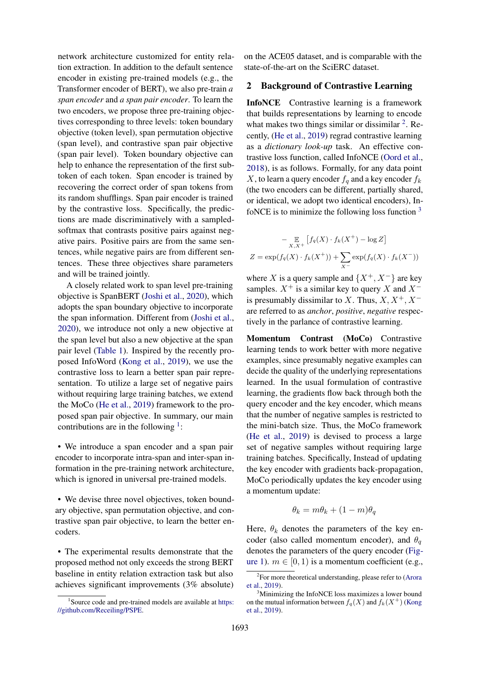network architecture customized for entity relation extraction. In addition to the default sentence encoder in existing pre-trained models (e.g., the Transformer encoder of BERT), we also pre-train *a span encoder* and *a span pair encoder*. To learn the two encoders, we propose three pre-training objectives corresponding to three levels: token boundary objective (token level), span permutation objective (span level), and contrastive span pair objective (span pair level). Token boundary objective can help to enhance the representation of the first subtoken of each token. Span encoder is trained by recovering the correct order of span tokens from its random shufflings. Span pair encoder is trained by the contrastive loss. Specifically, the predictions are made discriminatively with a sampledsoftmax that contrasts positive pairs against negative pairs. Positive pairs are from the same sentences, while negative pairs are from different sentences. These three objectives share parameters and will be trained jointly.

A closely related work to span level pre-training objective is SpanBERT [\(Joshi et al.,](#page-8-3) [2020\)](#page-8-3), which adopts the span boundary objective to incorporate the span information. Different from [\(Joshi et al.,](#page-8-3) [2020\)](#page-8-3), we introduce not only a new objective at the span level but also a new objective at the span pair level [\(Table 1\)](#page-0-0). Inspired by the recently proposed InfoWord [\(Kong et al.,](#page-8-4) [2019\)](#page-8-4), we use the contrastive loss to learn a better span pair representation. To utilize a large set of negative pairs without requiring large training batches, we extend the MoCo [\(He et al.,](#page-8-5) [2019\)](#page-8-5) framework to the proposed span pair objective. In summary, our main contributions are in the following  $\frac{1}{2}$  $\frac{1}{2}$  $\frac{1}{2}$ :

• We introduce a span encoder and a span pair encoder to incorporate intra-span and inter-span information in the pre-training network architecture, which is ignored in universal pre-trained models.

• We devise three novel objectives, token boundary objective, span permutation objective, and contrastive span pair objective, to learn the better encoders.

• The experimental results demonstrate that the proposed method not only exceeds the strong BERT baseline in entity relation extraction task but also achieves significant improvements (3% absolute) on the ACE05 dataset, and is comparable with the state-of-the-art on the SciERC dataset.

## 2 Background of Contrastive Learning

InfoNCE Contrastive learning is a framework that builds representations by learning to encode what makes two things similar or dissimilar  $2$ . Recently, [\(He et al.,](#page-8-5) [2019\)](#page-8-5) regrad contrastive learning as a *dictionary look-up* task. An effective contrastive loss function, called InfoNCE [\(Oord et al.,](#page-9-7) [2018\)](#page-9-7), is as follows. Formally, for any data point X, to learn a query encoder  $f_a$  and a key encoder  $f_k$ (the two encoders can be different, partially shared, or identical, we adopt two identical encoders), InfoNCE is to minimize the following loss function  $3$ 

$$
-\mathop{\mathbb{E}}_{X,X^{+}}[f_{q}(X)\cdot f_{k}(X^{+})-\log Z]
$$

$$
Z = \exp(f_{q}(X)\cdot f_{k}(X^{+})) + \sum_{X^{-}} \exp(f_{q}(X)\cdot f_{k}(X^{-}))
$$

where X is a query sample and  $\{X^+, X^-\}$  are key samples.  $X^+$  is a similar key to query X and  $X^$ is presumably dissimilar to X. Thus,  $X, X^+, X^$ are referred to as *anchor*, *positive*, *negative* respectively in the parlance of contrastive learning.

Momentum Contrast (MoCo) Contrastive learning tends to work better with more negative examples, since presumably negative examples can decide the quality of the underlying representations learned. In the usual formulation of contrastive learning, the gradients flow back through both the query encoder and the key encoder, which means that the number of negative samples is restricted to the mini-batch size. Thus, the MoCo framework [\(He et al.,](#page-8-5) [2019\)](#page-8-5) is devised to process a large set of negative samples without requiring large training batches. Specifically, Instead of updating the key encoder with gradients back-propagation, MoCo periodically updates the key encoder using a momentum update:

$$
\theta_k = m\theta_k + (1 - m)\theta_q
$$

Here,  $\theta_k$  denotes the parameters of the key encoder (also called momentum encoder), and  $\theta_{q}$ denotes the parameters of the query encoder [\(Fig](#page-2-0)[ure 1\)](#page-2-0).  $m \in [0, 1)$  is a momentum coefficient (e.g.,

<span id="page-1-0"></span><sup>&</sup>lt;sup>1</sup> Source code and pre-trained models are available at [https:](https://github.com/Receiling/PSPE) [//github.com/Receiling/PSPE.](https://github.com/Receiling/PSPE)

<span id="page-1-1"></span><sup>&</sup>lt;sup>2</sup>For more theoretical understanding, please refer to [\(Arora](#page-8-6) [et al.,](#page-8-6) [2019\)](#page-8-6).

<span id="page-1-2"></span><sup>&</sup>lt;sup>3</sup>Minimizing the InfoNCE loss maximizes a lower bound on the mutual information between  $f_q(X)$  and  $f_k(X^+)$  [\(Kong](#page-8-4) [et al.,](#page-8-4) [2019\)](#page-8-4).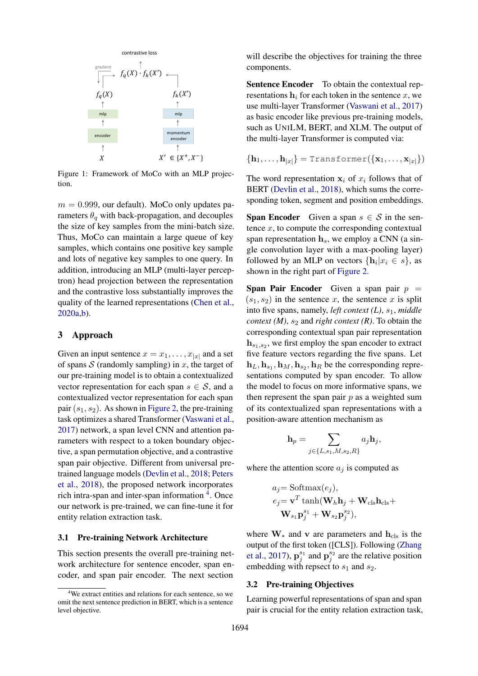<span id="page-2-0"></span>

Figure 1: Framework of MoCo with an MLP projection.

 $m = 0.999$ , our default). MoCo only updates parameters  $\theta_q$  with back-propagation, and decouples the size of key samples from the mini-batch size. Thus, MoCo can maintain a large queue of key samples, which contains one positive key sample and lots of negative key samples to one query. In addition, introducing an MLP (multi-layer perceptron) head projection between the representation and the contrastive loss substantially improves the quality of the learned representations [\(Chen et al.,](#page-8-7) [2020a](#page-8-7)[,b\)](#page-8-8).

#### 3 Approach

Given an input sentence  $x = x_1, \dots, x_{|x|}$  and a set of spans  $S$  (randomly sampling) in x, the target of our pre-training model is to obtain a contextualized vector representation for each span  $s \in \mathcal{S}$ , and a contextualized vector representation for each span pair  $(s_1, s_2)$ . As shown in [Figure 2,](#page-3-0) the pre-training task optimizes a shared Transformer [\(Vaswani et al.,](#page-9-8) [2017\)](#page-9-8) network, a span level CNN and attention parameters with respect to a token boundary objective, a span permutation objective, and a contrastive span pair objective. Different from universal pretrained language models [\(Devlin et al.,](#page-8-0) [2018;](#page-8-0) [Peters](#page-9-9) [et al.,](#page-9-9) [2018\)](#page-9-9), the proposed network incorporates rich intra-span and inter-span information <sup>[4](#page-2-1)</sup>. Once our network is pre-trained, we can fine-tune it for entity relation extraction task.

#### 3.1 Pre-training Network Architecture

This section presents the overall pre-training network architecture for sentence encoder, span encoder, and span pair encoder. The next section

will describe the objectives for training the three components.

Sentence Encoder To obtain the contextual representations  $h_i$  for each token in the sentence x, we use multi-layer Transformer [\(Vaswani et al.,](#page-9-8) [2017\)](#page-9-8) as basic encoder like previous pre-training models, such as UNILM, BERT, and XLM. The output of the multi-layer Transformer is computed via:

$$
\{\mathbf h_1,\ldots,\mathbf h_{|x|}\}=\texttt{Transformer}(\{\mathbf x_1,\ldots,\mathbf x_{|x|}\})
$$

The word representation  $x_i$  of  $x_i$  follows that of BERT [\(Devlin et al.,](#page-8-0) [2018\)](#page-8-0), which sums the corresponding token, segment and position embeddings.

**Span Encoder** Given a span  $s \in S$  in the sentence  $x$ , to compute the corresponding contextual span representation  $h_s$ , we employ a CNN (a single convolution layer with a max-pooling layer) followed by an MLP on vectors  $\{\mathbf h_i | x_i \in s\}$ , as shown in the right part of [Figure 2.](#page-3-0)

Span Pair Encoder Given a span pair  $p =$  $(s_1, s_2)$  in the sentence x, the sentence x is split into five spans, namely, *left context* (*L*),  $s<sub>1</sub>$ , *middle context (M), s<sub>2</sub> and <i>right context (R)*. To obtain the corresponding contextual span pair representation  $h_{s_1,s_2}$ , we first employ the span encoder to extract five feature vectors regarding the five spans. Let  $\mathbf{h}_L, \mathbf{h}_{s_1}, \mathbf{h}_M, \mathbf{h}_{s_2}, \mathbf{h}_R$  be the corresponding representations computed by span encoder. To allow the model to focus on more informative spans, we then represent the span pair  $p$  as a weighted sum of its contextualized span representations with a position-aware attention mechanism as

$$
\mathbf{h}_p = \sum_{j \in \{L, s_1, M, s_2, R\}} a_j \mathbf{h}_j,
$$

where the attention score  $a_j$  is computed as

$$
a_j = \text{Softmax}(e_j),
$$
  
\n
$$
e_j = \mathbf{v}^T \tanh(\mathbf{W}_h \mathbf{h}_j + \mathbf{W}_{\text{cls}} \mathbf{h}_{\text{cls}} + \mathbf{W}_{s_1} \mathbf{p}_j^{s_1} + \mathbf{W}_{s_2} \mathbf{p}_j^{s_2}),
$$

where  $W_*$  and v are parameters and  $h_{cls}$  is the output of the first token ([CLS]). Following [\(Zhang](#page-9-10) [et al.,](#page-9-10) [2017\)](#page-9-10),  $\mathbf{p}_j^{s_1}$  and  $\mathbf{p}_j^{s_2}$  are the relative position embedding with repsect to  $s_1$  and  $s_2$ .

#### 3.2 Pre-training Objectives

Learning powerful representations of span and span pair is crucial for the entity relation extraction task,

<span id="page-2-1"></span><sup>&</sup>lt;sup>4</sup>We extract entities and relations for each sentence, so we omit the next sentence prediction in BERT, which is a sentence level objective.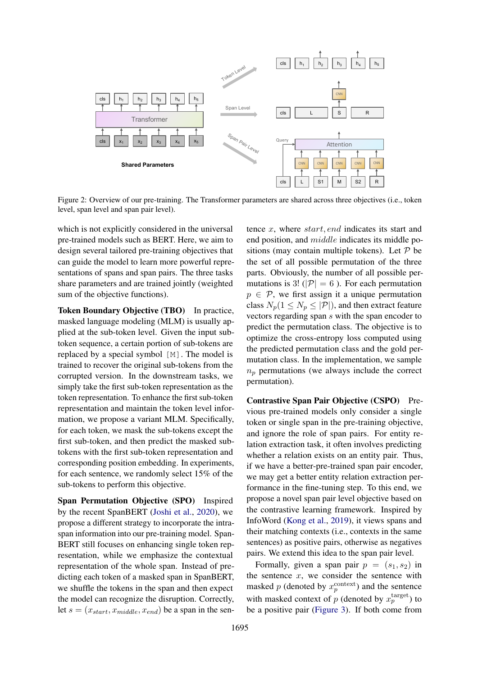<span id="page-3-0"></span>

Figure 2: Overview of our pre-training. The Transformer parameters are shared across three objectives (i.e., token level, span level and span pair level).

which is not explicitly considered in the universal pre-trained models such as BERT. Here, we aim to design several tailored pre-training objectives that can guide the model to learn more powerful representations of spans and span pairs. The three tasks share parameters and are trained jointly (weighted sum of the objective functions).

Token Boundary Objective (TBO) In practice, masked language modeling (MLM) is usually applied at the sub-token level. Given the input subtoken sequence, a certain portion of sub-tokens are replaced by a special symbol [M]. The model is trained to recover the original sub-tokens from the corrupted version. In the downstream tasks, we simply take the first sub-token representation as the token representation. To enhance the first sub-token representation and maintain the token level information, we propose a variant MLM. Specifically, for each token, we mask the sub-tokens except the first sub-token, and then predict the masked subtokens with the first sub-token representation and corresponding position embedding. In experiments, for each sentence, we randomly select 15% of the sub-tokens to perform this objective.

Span Permutation Objective (SPO) Inspired by the recent SpanBERT [\(Joshi et al.,](#page-8-3) [2020\)](#page-8-3), we propose a different strategy to incorporate the intraspan information into our pre-training model. Span-BERT still focuses on enhancing single token representation, while we emphasize the contextual representation of the whole span. Instead of predicting each token of a masked span in SpanBERT, we shuffle the tokens in the span and then expect the model can recognize the disruption. Correctly, let  $s = (x_{start}, x_{middle}, x_{end})$  be a span in the sentence  $x$ , where  $start$ , end indicates its start and end position, and middle indicates its middle positions (may contain multiple tokens). Let  $P$  be the set of all possible permutation of the three parts. Obviously, the number of all possible permutations is 3! ( $|\mathcal{P}| = 6$ ). For each permutation  $p \in \mathcal{P}$ , we first assign it a unique permutation class  $N_p(1 \leq N_p \leq |\mathcal{P}|)$ , and then extract feature vectors regarding span s with the span encoder to predict the permutation class. The objective is to optimize the cross-entropy loss computed using the predicted permutation class and the gold permutation class. In the implementation, we sample  $n_p$  permutations (we always include the correct permutation).

Contrastive Span Pair Objective (CSPO) Previous pre-trained models only consider a single token or single span in the pre-training objective, and ignore the role of span pairs. For entity relation extraction task, it often involves predicting whether a relation exists on an entity pair. Thus, if we have a better-pre-trained span pair encoder, we may get a better entity relation extraction performance in the fine-tuning step. To this end, we propose a novel span pair level objective based on the contrastive learning framework. Inspired by InfoWord [\(Kong et al.,](#page-8-4) [2019\)](#page-8-4), it views spans and their matching contexts (i.e., contexts in the same sentences) as positive pairs, otherwise as negatives pairs. We extend this idea to the span pair level.

Formally, given a span pair  $p = (s_1, s_2)$  in the sentence  $x$ , we consider the sentence with masked p (denoted by  $x_p^{\text{context}}$ ) and the sentence with masked context of p (denoted by  $x_p^{\text{target}}$ ) to be a positive pair [\(Figure 3\)](#page-4-0). If both come from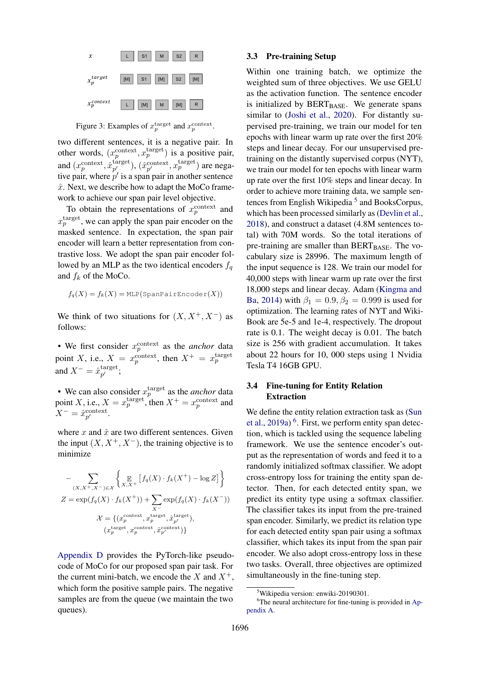<span id="page-4-0"></span>

Figure 3: Examples of  $x_p^{\text{target}}$  and  $x_p^{\text{context}}$ .

two different sentences, it is a negative pair. In other words,  $(x_p^{\text{context}}, x_p^{\text{target}})$  is a positive pair, and  $(x_p^{\text{context}}, \hat{x}_{p'}^{\text{target}})$  $\hat{p}_1^{\text{target}}$ ),  $(\hat{x}_{p'}^{\text{context}}, x_p^{\text{target}})$  are negative pair, where  $p'$  is a span pair in another sentence  $\hat{x}$ . Next, we describe how to adapt the MoCo framework to achieve our span pair level objective.

To obtain the representations of  $x_p^{\text{context}}$  and  $x_p^{\text{target}}$ , we can apply the span pair encoder on the masked sentence. In expectation, the span pair encoder will learn a better representation from contrastive loss. We adopt the span pair encoder followed by an MLP as the two identical encoders  $f_q$ and  $f_k$  of the MoCo.

$$
f_q(X) = f_k(X) = \text{MLP}(\text{SpanPairEncoder}(X))
$$

We think of two situations for  $(X, X^+, X^-)$  as follows:

• We first consider  $x_p^{\text{context}}$  as the *anchor* data point X, i.e.,  $X = x_p^{\text{context}}$ , then  $X^+ = x_p^{\text{target}}$ and  $X^- = \hat{x}_{n'}^{\text{target}}$  $\begin{array}{c} \mathfrak{target},\ p' \end{array}$ 

• We can also consider  $x_p^{\text{target}}$  as the *anchor* data point X, i.e.,  $X = x_p^{\text{target}}$ , then  $X^+ = x_p^{\text{context}}$  and  $X^- = \hat{x}_{p'}^{\text{context}}.$ 

where  $x$  and  $\hat{x}$  are two different sentences. Given the input  $(X, X^+, X^-)$ , the training objective is to minimize

$$
- \sum_{(X,X^+,X^-)\in\mathcal{X}} \left\{ \underset{X,X^+}{\mathbb{E}} \left[ f_q(X) \cdot f_k(X^+) - \log Z \right] \right\}
$$
  

$$
Z = \exp(f_q(X) \cdot f_k(X^+)) + \sum_{X^-} \exp(f_q(X) \cdot f_k(X^-))
$$
  

$$
\mathcal{X} = \left\{ (x_p^{\text{context}}, x_p^{\text{target}}, \hat{x}_{p'}^{\text{target}}), (x_p^{\text{target}}, x_p^{\text{context}}) \right\}
$$

[Appendix D](#page-11-0) provides the PyTorch-like pseudocode of MoCo for our proposed span pair task. For the current mini-batch, we encode the X and  $X^+$ , which form the positive sample pairs. The negative samples are from the queue (we maintain the two queues).

#### 3.3 Pre-training Setup

Within one training batch, we optimize the weighted sum of three objectives. We use GELU as the activation function. The sentence encoder is initialized by  $BERT_{BASE}$ . We generate spans similar to [\(Joshi et al.,](#page-8-3) [2020\)](#page-8-3). For distantly supervised pre-training, we train our model for ten epochs with linear warm up rate over the first 20% steps and linear decay. For our unsupervised pretraining on the distantly supervised corpus (NYT), we train our model for ten epochs with linear warm up rate over the first 10% steps and linear decay. In order to achieve more training data, we sample sen-tences from English Wikipedia<sup>[5](#page-4-1)</sup> and BooksCorpus, which has been processed similarly as [\(Devlin et al.,](#page-8-0) [2018\)](#page-8-0), and construct a dataset (4.8M sentences total) with 70M words. So the total iterations of pre-training are smaller than  $BERT_{BASE}$ . The vocabulary size is 28996. The maximum length of the input sequence is 128. We train our model for 40,000 steps with linear warm up rate over the first 18,000 steps and linear decay. Adam [\(Kingma and](#page-8-9) [Ba,](#page-8-9) [2014\)](#page-8-9) with  $\beta_1 = 0.9, \beta_2 = 0.999$  is used for optimization. The learning rates of NYT and Wiki-Book are 5e-5 and 1e-4, respectively. The dropout rate is 0.1. The weight decay is 0.01. The batch size is 256 with gradient accumulation. It takes about 22 hours for 10, 000 steps using 1 Nvidia Tesla T4 16GB GPU.

## 3.4 Fine-tuning for Entity Relation Extraction

We define the entity relation extraction task as [\(Sun](#page-9-2) [et al.,](#page-9-2) [2019a\)](#page-9-2) [6](#page-4-2) . First, we perform entity span detection, which is tackled using the sequence labeling framework. We use the sentence encoder's output as the representation of words and feed it to a randomly initialized softmax classifier. We adopt cross-entropy loss for training the entity span detector. Then, for each detected entity span, we predict its entity type using a softmax classifier. The classifier takes its input from the pre-trained span encoder. Similarly, we predict its relation type for each detected entity span pair using a softmax classifier, which takes its input from the span pair encoder. We also adopt cross-entropy loss in these two tasks. Overall, three objectives are optimized simultaneously in the fine-tuning step.

<span id="page-4-2"></span><span id="page-4-1"></span><sup>5</sup>Wikipedia version: enwiki-20190301.

<sup>&</sup>lt;sup>6</sup>The neural architecture for fine-tuning is provided in [Ap](#page-10-0)[pendix A.](#page-10-0)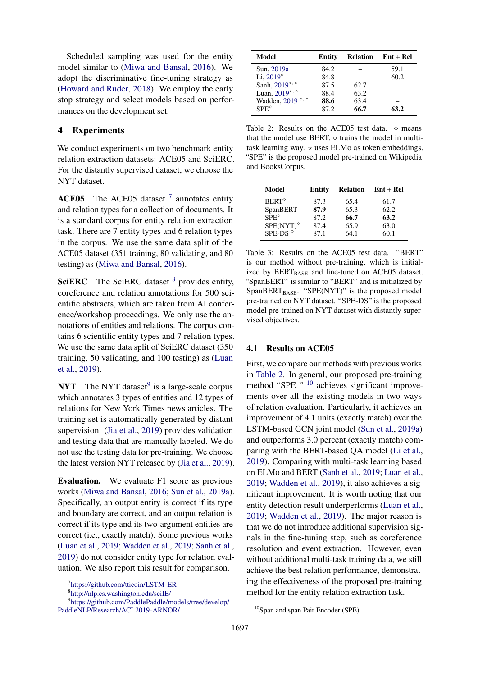Scheduled sampling was used for the entity model similar to [\(Miwa and Bansal,](#page-9-0) [2016\)](#page-9-0). We adopt the discriminative fine-tuning strategy as [\(Howard and Ruder,](#page-8-10) [2018\)](#page-8-10). We employ the early stop strategy and select models based on performances on the development set.

## 4 Experiments

We conduct experiments on two benchmark entity relation extraction datasets: ACE05 and SciERC. For the distantly supervised dataset, we choose the NYT dataset.

ACE05 The ACE05 dataset  $^7$  $^7$  annotates entity and relation types for a collection of documents. It is a standard corpus for entity relation extraction task. There are 7 entity types and 6 relation types in the corpus. We use the same data split of the ACE05 dataset (351 training, 80 validating, and 80 testing) as [\(Miwa and Bansal,](#page-9-0) [2016\)](#page-9-0).

**SciERC** The SciERC dataset  $8$  provides entity, coreference and relation annotations for 500 scientific abstracts, which are taken from AI conference/workshop proceedings. We only use the annotations of entities and relations. The corpus contains 6 scientific entity types and 7 relation types. We use the same data split of SciERC dataset (350 training, 50 validating, and 100 testing) as [\(Luan](#page-9-11) [et al.,](#page-9-11) [2019\)](#page-9-11).

**NYT** The NYT dataset<sup>[9](#page-5-2)</sup> is a large-scale corpus which annotates 3 types of entities and 12 types of relations for New York Times news articles. The training set is automatically generated by distant supervision. [\(Jia et al.,](#page-8-11) [2019\)](#page-8-11) provides validation and testing data that are manually labeled. We do not use the testing data for pre-training. We choose the latest version NYT released by [\(Jia et al.,](#page-8-11) [2019\)](#page-8-11).

Evaluation. We evaluate F1 score as previous works [\(Miwa and Bansal,](#page-9-0) [2016;](#page-9-0) [Sun et al.,](#page-9-2) [2019a\)](#page-9-2). Specifically, an output entity is correct if its type and boundary are correct, and an output relation is correct if its type and its two-argument entities are correct (i.e., exactly match). Some previous works [\(Luan et al.,](#page-9-11) [2019;](#page-9-11) [Wadden et al.,](#page-9-3) [2019;](#page-9-3) [Sanh et al.,](#page-9-12) [2019\)](#page-9-12) do not consider entity type for relation evaluation. We also report this result for comparison.

<span id="page-5-3"></span>

| Model                         | Entity | <b>Relation</b> | Ent + Rel |
|-------------------------------|--------|-----------------|-----------|
| Sun, 2019a                    | 84.2   |                 | 59.1      |
| Li, $2019^\circ$              | 84.8   |                 | 60.2      |
| Sanh, 2019*, °                | 87.5   | 62.7            |           |
| Luan, $2019$ *, $\circ$       | 88.4   | 63.2            |           |
| Wadden, $2019^{\circ, \circ}$ | 88.6   | 63.4            |           |
| $SPE^{\diamond}$              | 872    | 66.7            | 63.2      |

Table 2: Results on the ACE05 test data.  $\diamond$  means that the model use BERT. ⊙ trains the model in multitask learning way.  $\star$  uses ELMo as token embeddings. "SPE" is the proposed model pre-trained on Wikipedia and BooksCorpus.

<span id="page-5-5"></span>

| Model                 | Entity | <b>Relation</b> | $Ent + Rel$ |
|-----------------------|--------|-----------------|-------------|
| $BERT^{\diamond}$     | 87.3   | 65.4            | 61.7        |
| SpanBERT              | 87.9   | 65.3            | 62.2        |
| $SPE^{\diamond}$      | 87.2   | 66.7            | 63.2        |
| $SPE(NYT)^{\diamond}$ | 87.4   | 65.9            | 63.0        |
| SPE-DS <sup>®</sup>   | 87.1   | 64.1            | 60.1        |

Table 3: Results on the ACE05 test data. "BERT" is our method without pre-training, which is initialized by  $BERT_{BASE}$  and fine-tuned on ACE05 dataset. "SpanBERT" is similar to "BERT" and is initialized by  $SpanBERT_{BASE}$ . " $SPE(NYT)$ " is the proposed model pre-trained on NYT dataset. "SPE-DS" is the proposed model pre-trained on NYT dataset with distantly supervised objectives.

#### 4.1 Results on ACE05

First, we compare our methods with previous works in [Table 2.](#page-5-3) In general, our proposed pre-training method "SPE " <sup>[10](#page-5-4)</sup> achieves significant improvements over all the existing models in two ways of relation evaluation. Particularly, it achieves an improvement of 4.1 units (exactly match) over the LSTM-based GCN joint model [\(Sun et al.,](#page-9-2) [2019a\)](#page-9-2) and outperforms 3.0 percent (exactly match) comparing with the BERT-based QA model [\(Li et al.,](#page-8-2) [2019\)](#page-8-2). Comparing with multi-task learning based on ELMo and BERT [\(Sanh et al.,](#page-9-12) [2019;](#page-9-12) [Luan et al.,](#page-9-11) [2019;](#page-9-11) [Wadden et al.,](#page-9-3) [2019\)](#page-9-3), it also achieves a significant improvement. It is worth noting that our entity detection result underperforms [\(Luan et al.,](#page-9-11) [2019;](#page-9-11) [Wadden et al.,](#page-9-3) [2019\)](#page-9-3). The major reason is that we do not introduce additional supervision signals in the fine-tuning step, such as coreference resolution and event extraction. However, even without additional multi-task training data, we still achieve the best relation performance, demonstrating the effectiveness of the proposed pre-training method for the entity relation extraction task.

<span id="page-5-0"></span><sup>7</sup> <https://github.com/tticoin/LSTM-ER>

<span id="page-5-2"></span><span id="page-5-1"></span><sup>8</sup> <http://nlp.cs.washington.edu/sciIE/>

<sup>9</sup> [https://github.com/PaddlePaddle/models/tree/develop/](https://github.com/PaddlePaddle/models/tree/develop/PaddleNLP/Research/ACL2019-ARNOR/) [PaddleNLP/Research/ACL2019-ARNOR/](https://github.com/PaddlePaddle/models/tree/develop/PaddleNLP/Research/ACL2019-ARNOR/)

<span id="page-5-4"></span><sup>10</sup>Span and span Pair Encoder (SPE).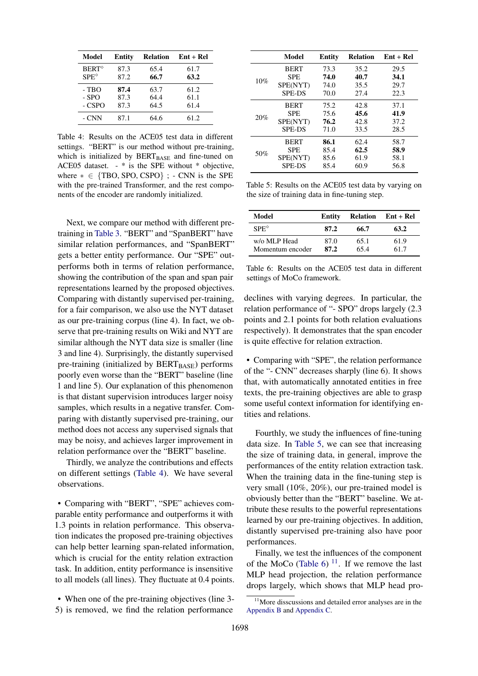<span id="page-6-0"></span>

| Model            | Entity | <b>Relation</b> | $Ent + Rel$ |
|------------------|--------|-----------------|-------------|
| $BERT^{\circ}$   | 87.3   | 65.4            | 61.7        |
| $SPE^{\diamond}$ | 87.2   | 66.7            | 63.2        |
| $-TBO$           | 87.4   | 63.7            | 61.2        |
| $-$ SPO          | 87.3   | 64.4            | 61.1        |
| - CSPO           | 87.3   | 64.5            | 61.4        |
| - CNN            | 87.1   | 64.6            | 61.2        |

Table 4: Results on the ACE05 test data in different settings. "BERT" is our method without pre-training, which is initialized by  $BERT_{BASE}$  and fine-tuned on ACE05 dataset. - \* is the SPE without \* objective, where  $* \in \{TBO, SPO, CSPO\}$ ; - CNN is the SPE with the pre-trained Transformer, and the rest components of the encoder are randomly initialized.

Next, we compare our method with different pretraining in [Table 3.](#page-5-5) "BERT" and "SpanBERT" have similar relation performances, and "SpanBERT" gets a better entity performance. Our "SPE" outperforms both in terms of relation performance, showing the contribution of the span and span pair representations learned by the proposed objectives. Comparing with distantly supervised per-training, for a fair comparison, we also use the NYT dataset as our pre-training corpus (line 4). In fact, we observe that pre-training results on Wiki and NYT are similar although the NYT data size is smaller (line 3 and line 4). Surprisingly, the distantly supervised pre-training (initialized by  $BERT_{BASE}$ ) performs poorly even worse than the "BERT" baseline (line 1 and line 5). Our explanation of this phenomenon is that distant supervision introduces larger noisy samples, which results in a negative transfer. Comparing with distantly supervised pre-training, our method does not access any supervised signals that may be noisy, and achieves larger improvement in relation performance over the "BERT" baseline.

Thirdly, we analyze the contributions and effects on different settings [\(Table 4\)](#page-6-0). We have several observations.

• Comparing with "BERT", "SPE" achieves comparable entity performance and outperforms it with 1.3 points in relation performance. This observation indicates the proposed pre-training objectives can help better learning span-related information, which is crucial for the entity relation extraction task. In addition, entity performance is insensitive to all models (all lines). They fluctuate at 0.4 points.

• When one of the pre-training objectives (line 3-5) is removed, we find the relation performance

<span id="page-6-1"></span>

|     | Model         | <b>Entity</b> | <b>Relation</b> | $Ent + Rel$ |
|-----|---------------|---------------|-----------------|-------------|
|     | <b>BERT</b>   | 73.3          | 35.2            | 29.5        |
|     | <b>SPE</b>    | 74.0          | 40.7            | 34.1        |
| 10% | SPE(NYT)      | 74.0          | 35.5            | 29.7        |
|     | <b>SPE-DS</b> | 70.0          | 27.4            | 22.3        |
| 20% | <b>BERT</b>   | 75.2          | 42.8            | 37.1        |
|     | <b>SPE</b>    | 75.6          | 45.6            | 41.9        |
|     | SPE(NYT)      | 76.2          | 42.8            | 37.2        |
|     | <b>SPE-DS</b> | 71.0          | 33.5            | 28.5        |
| 50% | <b>BERT</b>   | 86.1          | 62.4            | 58.7        |
|     | <b>SPE</b>    | 85.4          | 62.5            | 58.9        |
|     | SPE(NYT)      | 85.6          | 61.9            | 58.1        |
|     | <b>SPE-DS</b> | 85.4          | 60.9            | 56.8        |

Table 5: Results on the ACE05 test data by varying on the size of training data in fine-tuning step.

<span id="page-6-2"></span>

| Model                            | Entity       | <b>Relation</b> | $Ent + Rel$ |
|----------------------------------|--------------|-----------------|-------------|
| $SPE^{\diamond}$                 | 87.2         | 66.7            | 63.2        |
| w/o MLP Head<br>Momentum encoder | 87.0<br>87.2 | 65.1<br>65.4    | 61.9<br>617 |

Table 6: Results on the ACE05 test data in different settings of MoCo framework.

declines with varying degrees. In particular, the relation performance of "- SPO" drops largely (2.3 points and 2.1 points for both relation evaluations respectively). It demonstrates that the span encoder is quite effective for relation extraction.

• Comparing with "SPE", the relation performance of the "- CNN" decreases sharply (line 6). It shows that, with automatically annotated entities in free texts, the pre-training objectives are able to grasp some useful context information for identifying entities and relations.

Fourthly, we study the influences of fine-tuning data size. In [Table 5,](#page-6-1) we can see that increasing the size of training data, in general, improve the performances of the entity relation extraction task. When the training data in the fine-tuning step is very small (10%, 20%), our pre-trained model is obviously better than the "BERT" baseline. We attribute these results to the powerful representations learned by our pre-training objectives. In addition, distantly supervised pre-training also have poor performances.

Finally, we test the influences of the component of the MoCo [\(Table 6\)](#page-6-2)  $^{11}$  $^{11}$  $^{11}$ . If we remove the last MLP head projection, the relation performance drops largely, which shows that MLP head pro-

<span id="page-6-3"></span><sup>&</sup>lt;sup>11</sup>More disscussions and detailed error analyses are in the [Appendix B](#page-10-1) and [Appendix C.](#page-11-1)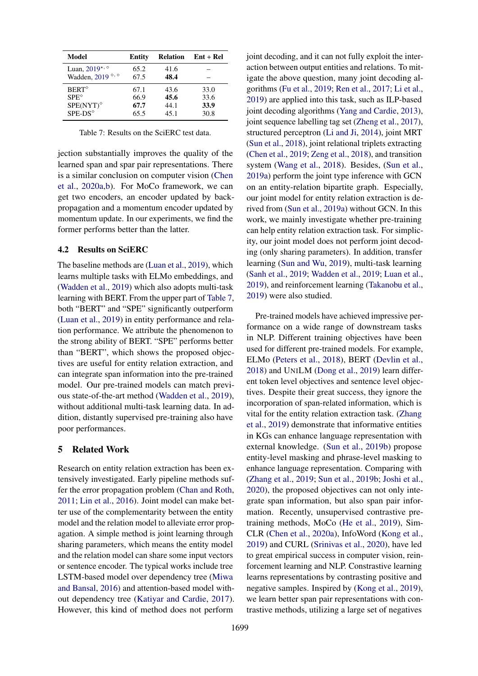<span id="page-7-0"></span>

| Model                                         | Entity | <b>Relation</b> | $Ent + Rel$ |
|-----------------------------------------------|--------|-----------------|-------------|
| Luan, $2019$ <sup>*, <math>\circ</math></sup> | 65.2   | 41.6            |             |
| Wadden, 2019 °, °                             | 67.5   | 48.4            |             |
| $BERT^{\circ}$                                | 67.1   | 43.6            | 33.0        |
| $SPE^{\diamond}$                              | 66.9   | 45.6            | 33.6        |
| $SPE(NYT)^{\diamond}$                         | 67.7   | 44.1            | 33.9        |
| SPE-DS <sup>o</sup>                           | 65.5   | 45.1            | 30.8        |

Table 7: Results on the SciERC test data.

jection substantially improves the quality of the learned span and spar pair representations. There is a similar conclusion on computer vision [\(Chen](#page-8-7) [et al.,](#page-8-7) [2020a,](#page-8-7)[b\)](#page-8-8). For MoCo framework, we can get two encoders, an encoder updated by backpropagation and a momentum encoder updated by momentum update. In our experiments, we find the former performs better than the latter.

#### 4.2 Results on SciERC

The baseline methods are [\(Luan et al.,](#page-9-11) [2019\)](#page-9-11), which learns multiple tasks with ELMo embeddings, and [\(Wadden et al.,](#page-9-3) [2019\)](#page-9-3) which also adopts multi-task learning with BERT. From the upper part of [Table 7,](#page-7-0) both "BERT" and "SPE" significantly outperform [\(Luan et al.,](#page-9-11) [2019\)](#page-9-11) in entity performance and relation performance. We attribute the phenomenon to the strong ability of BERT. "SPE" performs better than "BERT", which shows the proposed objectives are useful for entity relation extraction, and can integrate span information into the pre-trained model. Our pre-trained models can match previous state-of-the-art method [\(Wadden et al.,](#page-9-3) [2019\)](#page-9-3), without additional multi-task learning data. In addition, distantly supervised pre-training also have poor performances.

#### 5 Related Work

Research on entity relation extraction has been extensively investigated. Early pipeline methods suffer the error propagation problem [\(Chan and Roth,](#page-8-12) [2011;](#page-8-12) [Lin et al.,](#page-8-13) [2016\)](#page-8-13). Joint model can make better use of the complementarity between the entity model and the relation model to alleviate error propagation. A simple method is joint learning through sharing parameters, which means the entity model and the relation model can share some input vectors or sentence encoder. The typical works include tree LSTM-based model over dependency tree [\(Miwa](#page-9-0) [and Bansal,](#page-9-0) [2016\)](#page-9-0) and attention-based model without dependency tree [\(Katiyar and Cardie,](#page-8-14) [2017\)](#page-8-14). However, this kind of method does not perform

joint decoding, and it can not fully exploit the interaction between output entities and relations. To mitigate the above question, many joint decoding algorithms [\(Fu et al.,](#page-8-15) [2019;](#page-8-15) [Ren et al.,](#page-9-13) [2017;](#page-9-13) [Li et al.,](#page-8-2) [2019\)](#page-8-2) are applied into this task, such as ILP-based joint decoding algorithms [\(Yang and Cardie,](#page-9-14) [2013\)](#page-9-14), joint sequence labelling tag set [\(Zheng et al.,](#page-9-15) [2017\)](#page-9-15), structured perceptron [\(Li and Ji,](#page-8-16) [2014\)](#page-8-16), joint MRT [\(Sun et al.,](#page-9-1) [2018\)](#page-9-1), joint relational triplets extracting [\(Chen et al.,](#page-8-17) [2019;](#page-8-17) [Zeng et al.,](#page-9-16) [2018\)](#page-9-16), and transition system [\(Wang et al.,](#page-9-17) [2018\)](#page-9-17). Besides, [\(Sun et al.,](#page-9-2) [2019a\)](#page-9-2) perform the joint type inference with GCN on an entity-relation bipartite graph. Especially, our joint model for entity relation extraction is derived from [\(Sun et al.,](#page-9-2) [2019a\)](#page-9-2) without GCN. In this work, we mainly investigate whether pre-training can help entity relation extraction task. For simplicity, our joint model does not perform joint decoding (only sharing parameters). In addition, transfer learning [\(Sun and Wu,](#page-9-4) [2019\)](#page-9-4), multi-task learning [\(Sanh et al.,](#page-9-12) [2019;](#page-9-12) [Wadden et al.,](#page-9-3) [2019;](#page-9-3) [Luan et al.,](#page-9-11) [2019\)](#page-9-11), and reinforcement learning [\(Takanobu et al.,](#page-9-18) [2019\)](#page-9-18) were also studied.

Pre-trained models have achieved impressive performance on a wide range of downstream tasks in NLP. Different training objectives have been used for different pre-trained models. For example, ELMo [\(Peters et al.,](#page-9-9) [2018\)](#page-9-9), BERT [\(Devlin et al.,](#page-8-0) [2018\)](#page-8-0) and UNILM [\(Dong et al.,](#page-8-1) [2019\)](#page-8-1) learn different token level objectives and sentence level objectives. Despite their great success, they ignore the incorporation of span-related information, which is vital for the entity relation extraction task. [\(Zhang](#page-9-5) [et al.,](#page-9-5) [2019\)](#page-9-5) demonstrate that informative entities in KGs can enhance language representation with external knowledge. [\(Sun et al.,](#page-9-6) [2019b\)](#page-9-6) propose entity-level masking and phrase-level masking to enhance language representation. Comparing with [\(Zhang et al.,](#page-9-5) [2019;](#page-9-5) [Sun et al.,](#page-9-6) [2019b;](#page-9-6) [Joshi et al.,](#page-8-3) [2020\)](#page-8-3), the proposed objectives can not only integrate span information, but also span pair information. Recently, unsupervised contrastive pretraining methods, MoCo [\(He et al.,](#page-8-5) [2019\)](#page-8-5), Sim-CLR [\(Chen et al.,](#page-8-7) [2020a\)](#page-8-7), InfoWord [\(Kong et al.,](#page-8-4) [2019\)](#page-8-4) and CURL [\(Srinivas et al.,](#page-9-19) [2020\)](#page-9-19), have led to great empirical success in computer vision, reinforcement learning and NLP. Constrastive learning learns representations by contrasting positive and negative samples. Inspired by [\(Kong et al.,](#page-8-4) [2019\)](#page-8-4), we learn better span pair representations with contrastive methods, utilizing a large set of negatives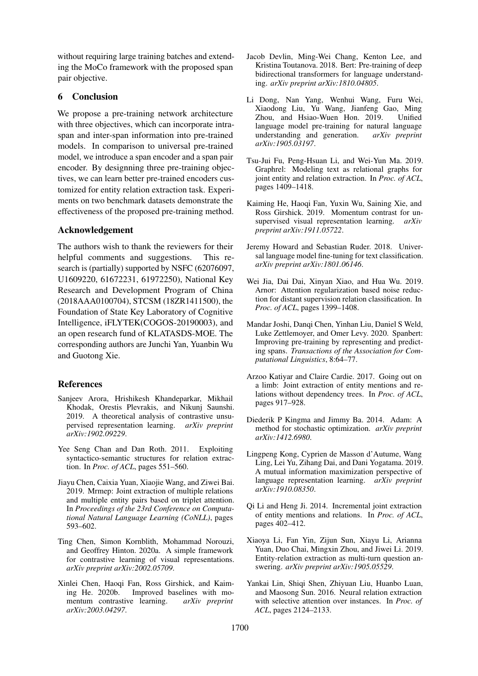without requiring large training batches and extending the MoCo framework with the proposed span pair objective.

## 6 Conclusion

We propose a pre-training network architecture with three objectives, which can incorporate intraspan and inter-span information into pre-trained models. In comparison to universal pre-trained model, we introduce a span encoder and a span pair encoder. By designning three pre-training objectives, we can learn better pre-trained encoders customized for entity relation extraction task. Experiments on two benchmark datasets demonstrate the effectiveness of the proposed pre-training method.

#### Acknowledgement

The authors wish to thank the reviewers for their helpful comments and suggestions. This research is (partially) supported by NSFC (62076097, U1609220, 61672231, 61972250), National Key Research and Development Program of China (2018AAA0100704), STCSM (18ZR1411500), the Foundation of State Key Laboratory of Cognitive Intelligence, iFLYTEK(COGOS-20190003), and an open research fund of KLATASDS-MOE. The corresponding authors are Junchi Yan, Yuanbin Wu and Guotong Xie.

## References

- <span id="page-8-6"></span>Sanjeev Arora, Hrishikesh Khandeparkar, Mikhail Khodak, Orestis Plevrakis, and Nikunj Saunshi. 2019. A theoretical analysis of contrastive unsupervised representation learning. *arXiv preprint arXiv:1902.09229*.
- <span id="page-8-12"></span>Yee Seng Chan and Dan Roth. 2011. Exploiting syntactico-semantic structures for relation extraction. In *Proc. of ACL*, pages 551–560.
- <span id="page-8-17"></span>Jiayu Chen, Caixia Yuan, Xiaojie Wang, and Ziwei Bai. 2019. Mrmep: Joint extraction of multiple relations and multiple entity pairs based on triplet attention. In *Proceedings of the 23rd Conference on Computational Natural Language Learning (CoNLL)*, pages 593–602.
- <span id="page-8-7"></span>Ting Chen, Simon Kornblith, Mohammad Norouzi, and Geoffrey Hinton. 2020a. A simple framework for contrastive learning of visual representations. *arXiv preprint arXiv:2002.05709*.
- <span id="page-8-8"></span>Xinlei Chen, Haoqi Fan, Ross Girshick, and Kaiming He. 2020b. Improved baselines with momentum contrastive learning. *arXiv preprint arXiv:2003.04297*.
- <span id="page-8-0"></span>Jacob Devlin, Ming-Wei Chang, Kenton Lee, and Kristina Toutanova. 2018. Bert: Pre-training of deep bidirectional transformers for language understanding. *arXiv preprint arXiv:1810.04805*.
- <span id="page-8-1"></span>Li Dong, Nan Yang, Wenhui Wang, Furu Wei, Xiaodong Liu, Yu Wang, Jianfeng Gao, Ming Zhou, and Hsiao-Wuen Hon. 2019. language model pre-training for natural language understanding and generation. *arXiv preprint arXiv:1905.03197*.
- <span id="page-8-15"></span>Tsu-Jui Fu, Peng-Hsuan Li, and Wei-Yun Ma. 2019. Graphrel: Modeling text as relational graphs for joint entity and relation extraction. In *Proc. of ACL*, pages 1409–1418.
- <span id="page-8-5"></span>Kaiming He, Haoqi Fan, Yuxin Wu, Saining Xie, and Ross Girshick. 2019. Momentum contrast for unsupervised visual representation learning. *arXiv preprint arXiv:1911.05722*.
- <span id="page-8-10"></span>Jeremy Howard and Sebastian Ruder. 2018. Universal language model fine-tuning for text classification. *arXiv preprint arXiv:1801.06146*.
- <span id="page-8-11"></span>Wei Jia, Dai Dai, Xinyan Xiao, and Hua Wu. 2019. Arnor: Attention regularization based noise reduction for distant supervision relation classification. In *Proc. of ACL*, pages 1399–1408.
- <span id="page-8-3"></span>Mandar Joshi, Danqi Chen, Yinhan Liu, Daniel S Weld, Luke Zettlemoyer, and Omer Levy. 2020. Spanbert: Improving pre-training by representing and predicting spans. *Transactions of the Association for Computational Linguistics*, 8:64–77.
- <span id="page-8-14"></span>Arzoo Katiyar and Claire Cardie. 2017. Going out on a limb: Joint extraction of entity mentions and relations without dependency trees. In *Proc. of ACL*, pages 917–928.
- <span id="page-8-9"></span>Diederik P Kingma and Jimmy Ba. 2014. Adam: A method for stochastic optimization. *arXiv preprint arXiv:1412.6980*.
- <span id="page-8-4"></span>Lingpeng Kong, Cyprien de Masson d'Autume, Wang Ling, Lei Yu, Zihang Dai, and Dani Yogatama. 2019. A mutual information maximization perspective of language representation learning. *arXiv preprint arXiv:1910.08350*.
- <span id="page-8-16"></span>Qi Li and Heng Ji. 2014. Incremental joint extraction of entity mentions and relations. In *Proc. of ACL*, pages 402–412.
- <span id="page-8-2"></span>Xiaoya Li, Fan Yin, Zijun Sun, Xiayu Li, Arianna Yuan, Duo Chai, Mingxin Zhou, and Jiwei Li. 2019. Entity-relation extraction as multi-turn question answering. *arXiv preprint arXiv:1905.05529*.
- <span id="page-8-13"></span>Yankai Lin, Shiqi Shen, Zhiyuan Liu, Huanbo Luan, and Maosong Sun. 2016. Neural relation extraction with selective attention over instances. In *Proc. of ACL*, pages 2124–2133.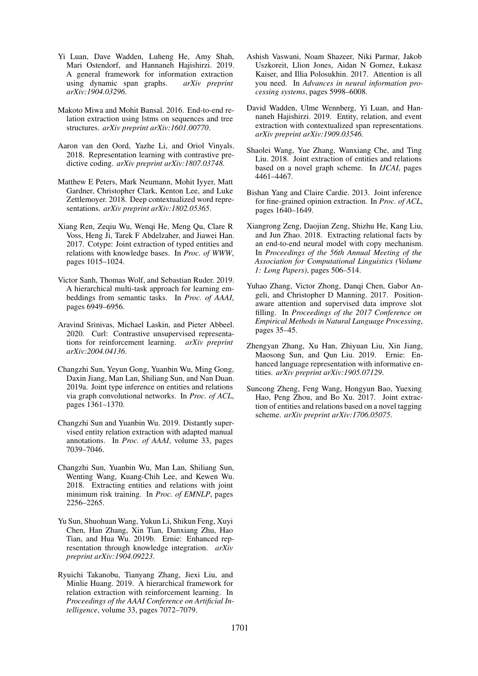- <span id="page-9-11"></span>Yi Luan, Dave Wadden, Luheng He, Amy Shah, Mari Ostendorf, and Hannaneh Hajishirzi. 2019. A general framework for information extraction using dynamic span graphs. *arXiv preprint arXiv:1904.03296*.
- <span id="page-9-0"></span>Makoto Miwa and Mohit Bansal. 2016. End-to-end relation extraction using lstms on sequences and tree structures. *arXiv preprint arXiv:1601.00770*.
- <span id="page-9-7"></span>Aaron van den Oord, Yazhe Li, and Oriol Vinyals. 2018. Representation learning with contrastive predictive coding. *arXiv preprint arXiv:1807.03748*.
- <span id="page-9-9"></span>Matthew E Peters, Mark Neumann, Mohit Iyyer, Matt Gardner, Christopher Clark, Kenton Lee, and Luke Zettlemoyer. 2018. Deep contextualized word representations. *arXiv preprint arXiv:1802.05365*.
- <span id="page-9-13"></span>Xiang Ren, Zeqiu Wu, Wenqi He, Meng Qu, Clare R Voss, Heng Ji, Tarek F Abdelzaher, and Jiawei Han. 2017. Cotype: Joint extraction of typed entities and relations with knowledge bases. In *Proc. of WWW*, pages 1015–1024.
- <span id="page-9-12"></span>Victor Sanh, Thomas Wolf, and Sebastian Ruder. 2019. A hierarchical multi-task approach for learning embeddings from semantic tasks. In *Proc. of AAAI*, pages 6949–6956.
- <span id="page-9-19"></span>Aravind Srinivas, Michael Laskin, and Pieter Abbeel. 2020. Curl: Contrastive unsupervised representations for reinforcement learning. *arXiv preprint arXiv:2004.04136*.
- <span id="page-9-2"></span>Changzhi Sun, Yeyun Gong, Yuanbin Wu, Ming Gong, Daxin Jiang, Man Lan, Shiliang Sun, and Nan Duan. 2019a. Joint type inference on entities and relations via graph convolutional networks. In *Proc. of ACL*, pages 1361–1370.
- <span id="page-9-4"></span>Changzhi Sun and Yuanbin Wu. 2019. Distantly supervised entity relation extraction with adapted manual annotations. In *Proc. of AAAI*, volume 33, pages 7039–7046.
- <span id="page-9-1"></span>Changzhi Sun, Yuanbin Wu, Man Lan, Shiliang Sun, Wenting Wang, Kuang-Chih Lee, and Kewen Wu. 2018. Extracting entities and relations with joint minimum risk training. In *Proc. of EMNLP*, pages 2256–2265.
- <span id="page-9-6"></span>Yu Sun, Shuohuan Wang, Yukun Li, Shikun Feng, Xuyi Chen, Han Zhang, Xin Tian, Danxiang Zhu, Hao Tian, and Hua Wu. 2019b. Ernie: Enhanced representation through knowledge integration. *arXiv preprint arXiv:1904.09223*.
- <span id="page-9-18"></span>Ryuichi Takanobu, Tianyang Zhang, Jiexi Liu, and Minlie Huang. 2019. A hierarchical framework for relation extraction with reinforcement learning. In *Proceedings of the AAAI Conference on Artificial Intelligence*, volume 33, pages 7072–7079.
- <span id="page-9-8"></span>Ashish Vaswani, Noam Shazeer, Niki Parmar, Jakob Uszkoreit, Llion Jones, Aidan N Gomez, Łukasz Kaiser, and Illia Polosukhin. 2017. Attention is all you need. In *Advances in neural information processing systems*, pages 5998–6008.
- <span id="page-9-3"></span>David Wadden, Ulme Wennberg, Yi Luan, and Hannaneh Hajishirzi. 2019. Entity, relation, and event extraction with contextualized span representations. *arXiv preprint arXiv:1909.03546*.
- <span id="page-9-17"></span>Shaolei Wang, Yue Zhang, Wanxiang Che, and Ting Liu. 2018. Joint extraction of entities and relations based on a novel graph scheme. In *IJCAI*, pages 4461–4467.
- <span id="page-9-14"></span>Bishan Yang and Claire Cardie. 2013. Joint inference for fine-grained opinion extraction. In *Proc. of ACL*, pages 1640–1649.
- <span id="page-9-16"></span>Xiangrong Zeng, Daojian Zeng, Shizhu He, Kang Liu, and Jun Zhao. 2018. Extracting relational facts by an end-to-end neural model with copy mechanism. In *Proceedings of the 56th Annual Meeting of the Association for Computational Linguistics (Volume 1: Long Papers)*, pages 506–514.
- <span id="page-9-10"></span>Yuhao Zhang, Victor Zhong, Danqi Chen, Gabor Angeli, and Christopher D Manning. 2017. Positionaware attention and supervised data improve slot filling. In *Proceedings of the 2017 Conference on Empirical Methods in Natural Language Processing*, pages 35–45.
- <span id="page-9-5"></span>Zhengyan Zhang, Xu Han, Zhiyuan Liu, Xin Jiang, Maosong Sun, and Qun Liu. 2019. Ernie: Enhanced language representation with informative entities. *arXiv preprint arXiv:1905.07129*.
- <span id="page-9-15"></span>Suncong Zheng, Feng Wang, Hongyun Bao, Yuexing Hao, Peng Zhou, and Bo Xu. 2017. Joint extraction of entities and relations based on a novel tagging scheme. *arXiv preprint arXiv:1706.05075*.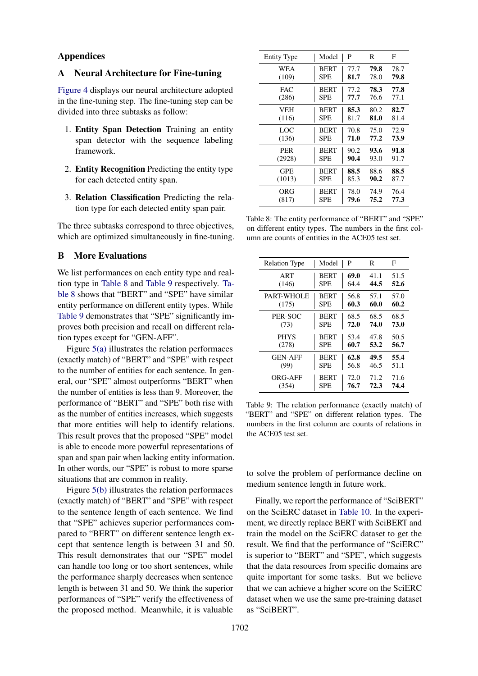#### Appendices

## <span id="page-10-0"></span>A Neural Architecture for Fine-tuning

[Figure 4](#page-11-2) displays our neural architecture adopted in the fine-tuning step. The fine-tuning step can be divided into three subtasks as follow:

- 1. Entity Span Detection Training an entity span detector with the sequence labeling framework.
- 2. Entity Recognition Predicting the entity type for each detected entity span.
- 3. Relation Classification Predicting the relation type for each detected entity span pair.

The three subtasks correspond to three objectives, which are optimized simultaneously in fine-tuning.

#### <span id="page-10-1"></span>B More Evaluations

We list performances on each entity type and realtion type in [Table 8](#page-10-2) and [Table 9](#page-10-3) respectively. [Ta](#page-10-2)[ble 8](#page-10-2) shows that "BERT" and "SPE" have similar entity performance on different entity types. While [Table 9](#page-10-3) demonstrates that "SPE" significantly improves both precision and recall on different relation types except for "GEN-AFF".

Figure [5\(a\)](#page-11-3) illustrates the relation performaces (exactly match) of "BERT" and "SPE" with respect to the number of entities for each sentence. In general, our "SPE" almost outperforms "BERT" when the number of entities is less than 9. Moreover, the performance of "BERT" and "SPE" both rise with as the number of entities increases, which suggests that more entities will help to identify relations. This result proves that the proposed "SPE" model is able to encode more powerful representations of span and span pair when lacking entity information. In other words, our "SPE" is robust to more sparse situations that are common in reality.

Figure [5\(b\)](#page-11-4) illustrates the relation performaces (exactly match) of "BERT" and "SPE" with respect to the sentence length of each sentence. We find that "SPE" achieves superior performances compared to "BERT" on different sentence length except that sentence length is between 31 and 50. This result demonstrates that our "SPE" model can handle too long or too short sentences, while the performance sharply decreases when sentence length is between 31 and 50. We think the superior performances of "SPE" verify the effectiveness of the proposed method. Meanwhile, it is valuable

<span id="page-10-2"></span>

| <b>Entity Type</b> | Model       | P    | R    | F    |
|--------------------|-------------|------|------|------|
| WEA                | <b>BERT</b> | 77.7 | 79.8 | 78.7 |
| (109)              | <b>SPE</b>  | 81.7 | 78.0 | 79.8 |
| <b>FAC</b>         | <b>BERT</b> | 77.2 | 78.3 | 77.8 |
| (286)              | <b>SPE</b>  | 77.7 | 76.6 | 77.1 |
| <b>VEH</b>         | <b>BERT</b> | 85.3 | 80.2 | 82.7 |
| (116)              | <b>SPE</b>  | 81.7 | 81.0 | 81.4 |
| LOC                | <b>BERT</b> | 70.8 | 75.0 | 72.9 |
| (136)              | <b>SPE</b>  | 71.0 | 77.2 | 73.9 |
| <b>PER</b>         | <b>BERT</b> | 90.2 | 93.6 | 91.8 |
| (2928)             | <b>SPE</b>  | 90.4 | 93.0 | 91.7 |
| GPE                | <b>BERT</b> | 88.5 | 88.6 | 88.5 |
| (1013)             | <b>SPE</b>  | 85.3 | 90.2 | 87.7 |
| ORG                | <b>BERT</b> | 78.0 | 74.9 | 76.4 |
| (817)              | <b>SPE</b>  | 79.6 | 75.2 | 77.3 |

Table 8: The entity performance of "BERT" and "SPE" on different entity types. The numbers in the first column are counts of entities in the ACE05 test set.

<span id="page-10-3"></span>

| <b>Relation Type</b> | Model       | P    | R    | F    |
|----------------------|-------------|------|------|------|
| ART                  | <b>BERT</b> | 69.0 | 41.1 | 51.5 |
| (146)                | <b>SPE</b>  | 64.4 | 44.5 | 52.6 |
| PART-WHOLE           | <b>BERT</b> | 56.8 | 57.1 | 57.0 |
| (175)                | <b>SPE</b>  | 60.3 | 60.0 | 60.2 |
| PER-SOC              | <b>BERT</b> | 68.5 | 68.5 | 68.5 |
| (73)                 | <b>SPE</b>  | 72.0 | 74.0 | 73.0 |
| <b>PHYS</b>          | <b>BERT</b> | 53.4 | 47.8 | 50.5 |
| (278)                | <b>SPE</b>  | 60.7 | 53.2 | 56.7 |
| <b>GEN-AFF</b>       | <b>BERT</b> | 62.8 | 49.5 | 55.4 |
| (99)                 | <b>SPE</b>  | 56.8 | 46.5 | 51.1 |
| ORG-AFF              | <b>BERT</b> | 72.0 | 71.2 | 71.6 |
| (354)                | <b>SPE</b>  | 76.7 | 72.3 | 74.4 |

Table 9: The relation performance (exactly match) of "BERT" and "SPE" on different relation types. The numbers in the first column are counts of relations in the ACE05 test set.

to solve the problem of performance decline on medium sentence length in future work.

Finally, we report the performance of "SciBERT" on the SciERC dataset in [Table 10.](#page-11-5) In the experiment, we directly replace BERT with SciBERT and train the model on the SciERC dataset to get the result. We find that the performance of "SciERC" is superior to "BERT" and "SPE", which suggests that the data resources from specific domains are quite important for some tasks. But we believe that we can achieve a higher score on the SciERC dataset when we use the same pre-training dataset as "SciBERT".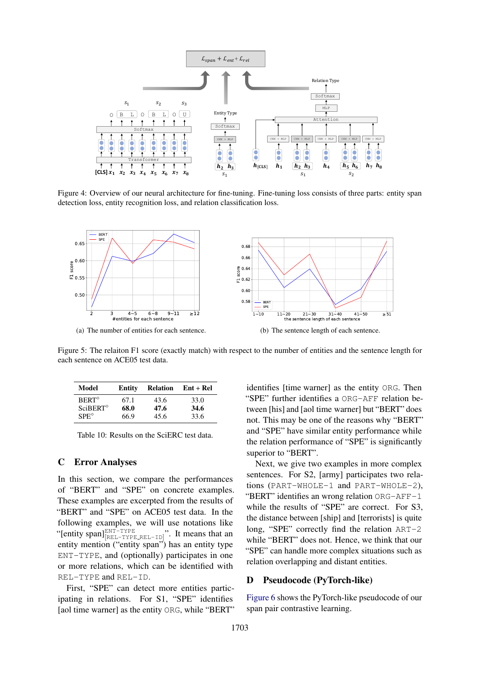<span id="page-11-2"></span>

Figure 4: Overview of our neural architecture for fine-tuning. Fine-tuning loss consists of three parts: entity span detection loss, entity recognition loss, and relation classification loss.

<span id="page-11-3"></span>

Figure 5: The relaiton F1 score (exactly match) with respect to the number of entities and the sentence length for each sentence on ACE05 test data.

<span id="page-11-5"></span>

| Model                    | Entity | <b>Relation</b> | $Ent + Rel$ |
|--------------------------|--------|-----------------|-------------|
| <b>BERT</b> <sup>®</sup> | 67.1   | 43.6            | 33.0        |
| $SciBERT^{\diamond}$     | 68.0   | 47.6            | 34.6        |
| $SPE^{\diamond}$         | 66.9   | 45.6            | 33.6        |

Table 10: Results on the SciERC test data.

## <span id="page-11-1"></span>C Error Analyses

In this section, we compare the performances of "BERT" and "SPE" on concrete examples. These examples are excerpted from the results of "BERT" and "SPE" on ACE05 test data. In the following examples, we will use notations like "[entity span] $_{[REL-TYPE_{.REL-TD}]}^{\text{ENT-TYPE}}$ ". It means that an entity mention ("entity span") has an entity type ENT-TYPE, and (optionally) participates in one or more relations, which can be identified with REL-TYPE and REL-ID.

First, "SPE" can detect more entities participating in relations. For S1, "SPE" identifies [aol time warner] as the entity ORG, while "BERT"

<span id="page-11-4"></span>identifies [time warner] as the entity ORG. Then "SPE" further identifies a ORG-AFF relation between [his] and [aol time warner] but "BERT" does not. This may be one of the reasons why "BERT" and "SPE" have similar entity performance while the relation performance of "SPE" is significantly superior to "BERT".

Next, we give two examples in more complex sentences. For S2, [army] participates two relations (PART-WHOLE-1 and PART-WHOLE-2), "BERT" identifies an wrong relation ORG-AFF-1 while the results of "SPE" are correct. For S3, the distance between [ship] and [terrorists] is quite long, "SPE" correctly find the relation ART-2 while "BERT" does not. Hence, we think that our "SPE" can handle more complex situations such as relation overlapping and distant entities.

## <span id="page-11-0"></span>D Pseudocode (PyTorch-like)

[Figure 6](#page-13-0) shows the PyTorch-like pseudocode of our span pair contrastive learning.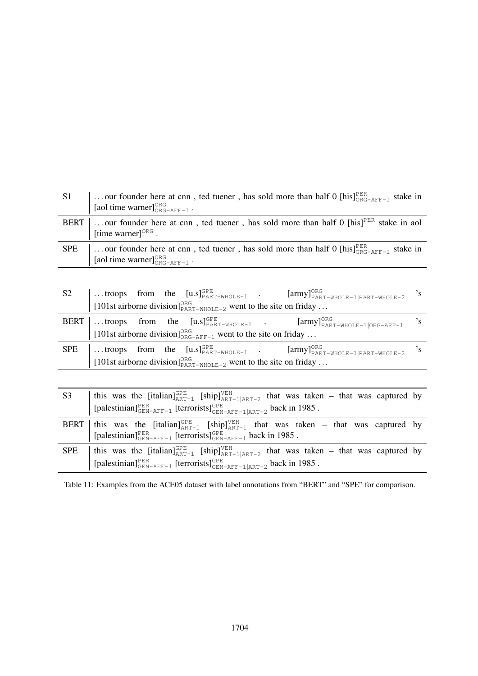| <b>S1</b>  | our founder here at cnn, ted tuener, has sold more than half 0 [his] $_{ORC-AFF-1}^{PEK}$ stake in<br>[aol time warner] $_{ORG-AFF-1}^{ORG}$ . |
|------------|------------------------------------------------------------------------------------------------------------------------------------------------|
| BERT       | our founder here at cnn, ted tuener, has sold more than half 0 [his] <sup>PER</sup> stake in aol<br>[time warner] $OORG$ .                     |
| <b>SPE</b> | our founder here at cnn, ted tuener, has sold more than half 0 [his] $_{ORC-ART-1}^{PER}$ stake in<br>[aol time warner] $_{ORG-AFF-1}^{ORG}$ . |

| S <sub>2</sub> |                                                                                             |  |  |                                                                                          |  | troops from the $[\text{u.s}]_{\text{PART-WHOLE-1}}^{\text{OPE}}$ . $[\text{army}]_{\text{PART-WHOLE-1}}^{\text{ORG}}$ 's<br>[101st airborne division] $_{\text{PART-WHOLE-2}}^{\text{ORG}}$ went to the site on friday |  |  |
|----------------|---------------------------------------------------------------------------------------------|--|--|------------------------------------------------------------------------------------------|--|-------------------------------------------------------------------------------------------------------------------------------------------------------------------------------------------------------------------------|--|--|
|                |                                                                                             |  |  |                                                                                          |  |                                                                                                                                                                                                                         |  |  |
|                |                                                                                             |  |  |                                                                                          |  | <b>BERT</b> troops from the $[u.s]_{\text{PART-WHOLE-1}}^{\text{GPE}}$ . [army] <sup>ORG</sup> $[\text{army}]_{\text{PART-WHOLE-1} \text{ORG-AFFT-1}}^{\text{OKG}}$ 's                                                  |  |  |
|                |                                                                                             |  |  | [101st airborne division] <sup>ORG</sup> <sub>ORG-AFF-1</sub> went to the site on friday |  |                                                                                                                                                                                                                         |  |  |
|                |                                                                                             |  |  |                                                                                          |  | $SPE$ troops from the $[u.s]_{\text{PART-WHOLE-1}}^{\text{GPE}}$ . $[army]_{\text{PART-WHOLE-1} \text{PART-WHOLE-2}}^{\text{ORG}}$ 's                                                                                   |  |  |
|                | [101st airborne division] <sup>ORG</sup> <sub>PART-WHOLE-2</sub> went to the site on friday |  |  |                                                                                          |  |                                                                                                                                                                                                                         |  |  |

| S <sub>3</sub> | this was the [italian] <sup>GPE</sup> <sub>ART-1</sub> [ship] <sup>VEH</sup> <sub>ART-1</sub> <sub>ART-2</sub> that was taken – that was captured by<br>[palestinian] <sup>PER</sup> <sub>GEN-AFF-1</sub> [terrorists] <sup>GPE</sup> <sub>GEN-AFF-1</sub>  ART-2 back in 1985. |
|----------------|---------------------------------------------------------------------------------------------------------------------------------------------------------------------------------------------------------------------------------------------------------------------------------|
|                | BERT   this was the [italian] <sup>GPE</sup> <sub>ART-1</sub> [ship] <sup>VEH</sup> <sub>ART-1</sub> that was taken – that was captured by<br>[palestinian] $_{\text{GEN-AFF-1}}^{\text{PER}}$ [terrorists] $_{\text{GEN-AFF-1}}^{\text{GPE}}$ back in 1985.                    |
| <b>SPE</b>     | this was the [italian] $_{ART-1}^{GPE}$ [ship] $_{ART-1}^{VEH}$ that was taken – that was captured by<br>$[ {palestinian}]^{\text{PER}}_{\text{GEN-AFF}-1} \ [\text{terrorists}]^{\text{GPE}}_{\text{GEN-AFF}-1   \text{ART}-2} \text{ back in 1985 }.$                         |

Table 11: Examples from the ACE05 dataset with label annotations from "BERT" and "SPE" for comparison.